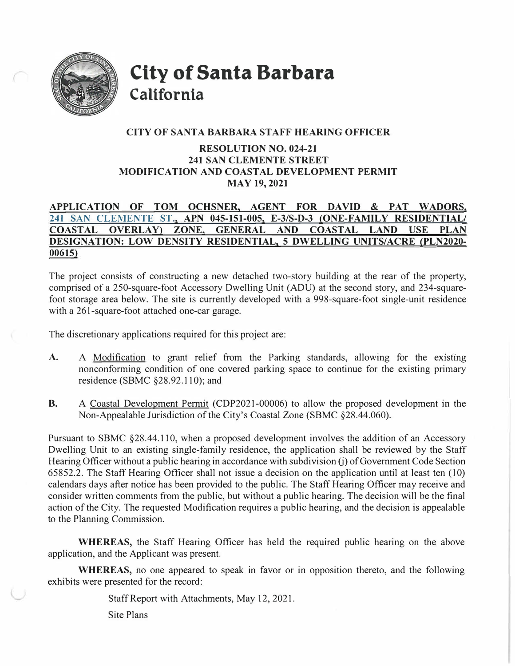

**City of Santa Barbara California** 

## **CITY OF SANTA BARBARA STAFF HEARING OFFICER**

## **RESOLUTION NO. 024-21 241 SAN CLEMENTE STREET MODIFICATION AND COASTAL DEVELOPMENT PERMIT MAY 19,2021**

# **APPLICATION OF TOM OCHSNER, AGENT FOR DAVID & PAT WADORS, 241 SAN CLEMENTE ST., APN 045-151-005, E-3/S-D-3 (ONE-FAMILY RESIDENTIAL/ COASTAL OVERLAY} ZONE, GENERAL AND COASTAL LAND USE PLAN DESIGNATION: LOW DENSITY RESIDENTIAL, 5 DWELLING UNITS/ACRE (PLN2020- 00615)**

The project consists of constructing a new detached two-story building at the rear of the property, comprised of a 250-square-foot Accessory Dwelling Unit (ADU) at the second story, and 234-squarefoot storage area below. The site is currently developed with a 998-square-foot single-unit residence with a 261-square-foot attached one-car garage.

The discretionary applications required for this project are:

- A. A Modification to grant relief from the Parking standards, allowing for the existing nonconforming condition of one covered parking space to continue for the existing primary residence (SBMC §28.92. I IO); and
- **B.** A Coastal Development Permit (CDP2021-00006) to allow the proposed development in the Non-Appealable Jurisdiction of the City's Coastal Zone (SBMC §28.44.060).

Pursuant to SBMC §28.44.110, when a proposed development involves the addition of an Accessory Dwelling Unit to an existing single-family residence, the application shall be reviewed by the Staff Hearing Officer without a public hearing in accordance with subdivision (j) of Government Code Section 65852.2. The Staff Hearing Officer shall not issue a decision on the application until at least ten (10) calendars days after notice has been provided to the public. The Staff Hearing Officer may receive and consider written comments from the public, but without a public hearing. The decision will be the final action of the City. The requested Modification requires a public hearing, and the decision is appealable to the Planning Commission.

**WHEREAS,** the Staff Hearing Officer has held the required public hearing on the above application, and the Applicant was present.

**WHEREAS,** no one appeared to speak in favor or in opposition thereto, and the following exhibits were presented for the record:

Staff Report with Attachments, May 12, 2021.

Site Plans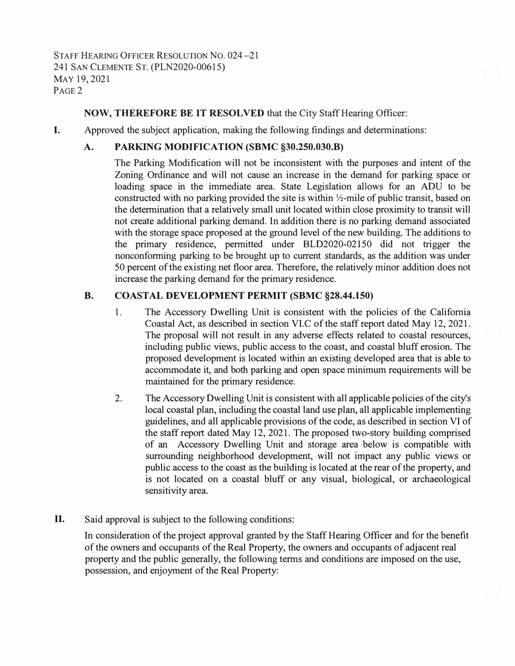STAFF HEARING OFFICER RESOLUTION NO. 024-21 241 SAN CLEMENTE ST. (PLN2020-00615) MAY 19,2021 PAGE 2

## **NOW, THEREFORE BE IT RESOLVED** that the City Staff Hearing Officer:

I. Approved the subject application, making the following findings and detenninations:

## **A. PARKING MODIFICATION (SBMC §30.250.030.B)**

The Parking Modification will not be inconsistent with the purposes and intent of the Zoning Ordinance and will not cause an increase in the demand for parking space or loading space in the immediate area. State Legislation allows for an ADU to be constructed with no parking provided the site is within  $\frac{1}{2}$ -mile of public transit, based on the determination that a relatively small unit located within close proximity to transit will not create additional parking demand. In addition there is no parking demand associated with the storage space proposed at the ground level of the new building. The additions to the primary residence, permitted under BLD2020-02150 did not trigger the nonconforming parking to be brought up to current standards, as the addition was under 50 percent of the existing net floor area. Therefore, the relatively minor addition does not increase the parking demand for the primary residence.

#### **B. COASTAL DEVELOPMENT PERMIT (SBMC §28.44.150)**

- 1. The Accessory Dwelling Unit is consistent with the policies of the California Coastal Act, as described in section VI.C of the staff report dated May 12, 2021. The proposal will not result in any adverse effects related to coastal resources, including public views, public access to the coast, and coastal bluff erosion. The proposed development is located within an existing developed area that is able to accommodate it, and both parking and open space minimum requirements will be maintained for the primary residence.
- 2. The Accessory Dwelling Unit is consistent with all applicable policies of the city's local coastal plan, including the coastal land use plan, all applicable implementing guidelines, and all applicable provisions of the code, as described in section VI of the staff report dated May 12, 2021. The proposed two-story building comprised of an Accessory Dwelling Unit and storage area below is compatible with surrounding neighborhood development, will not impact any public views or public access to the coast as the building is located at the rear of the property, and is not located on a coastal bluff or any visual, biological, or archaeological sensitivity area.
- II. Said approval is subject to the following conditions:

In consideration of the project approval granted by the Staff Hearing Officer and for the benefit of the owners and occupants of the Real Property, the owners and occupants of adjacent real property and the public generally, the following terms and conditions are imposed on the use, possession, and enjoyment of the Real Property: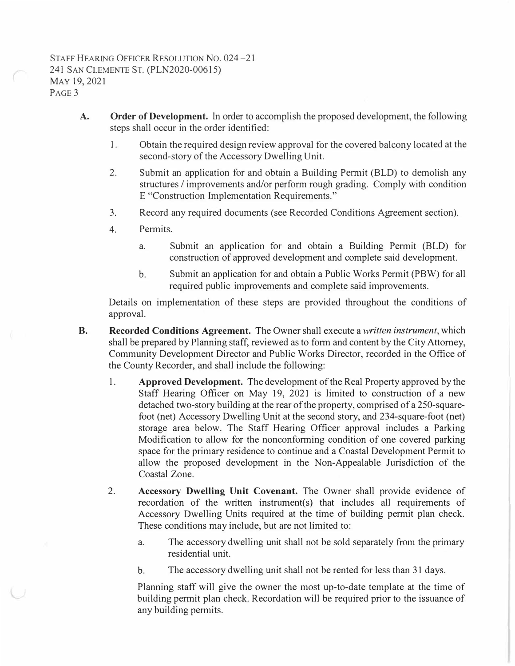- **A. Order of Development.** In order to accomplish the proposed development, the following steps shall occur in the order identified:
	- 1. Obtain the required design review approval for the covered balcony located at the second-story of the Accessory Dwelling Unit.
	- 2. Submit an application for and obtain a Building Pennit (BLD) to demolish any structures / improvements and/or perform rough grading. Comply with condition E "Construction Implementation Requirements."
	- 3.Record any required documents (see Recorded Conditions Agreement section).
	- 4. Permits.
		- a. Submit an application for and obtain a Building Pennit (BLD) for construction of approved development and complete said development.
		- b. Submit an application for and obtain a Public Works Permit (PBW) for all required public improvements and complete said improvements.

Details on implementation of these steps are provided throughout the conditions of approval.

- **B. Recorded Conditions Agreement.** The Owner shall execute a *written instrument,* which shall be prepared by Planning staff, reviewed as to form and content by the City Attorney, Community Development Director and Public Works Director, recorded in the Office of the County Recorder, and shall include the following:
	- 1. **Approved Development.** The development of the Real Property approved by the Staff Hearing Officer on May 19, 2021 is limited to construction of a new detached two-story building at the rear of the property, comprised of a 250-squarefoot (net) Accessory Dwelling Unit at the second story, and 234-square-foot (net) storage area below. The Staff Hearing Officer approval includes a Parking Modification to allow for the nonconforming condition of one covered parking space for the primary residence to continue and a Coastal Development Permit to allow the proposed development in the Non-Appealable Jurisdiction of the Coastal Zone.
	- 2. **Accessory Dwelling Unit Covenant.** The Owner shall provide evidence of recordation of the written instrument(s) that includes all requirements of Accessory Dwelling Units required at the time of building permit plan check. These conditions may include, but are not limited to:
		- a. The accessory dwelling unit shall not be sold separately from the primary residential unit.
		- b. The accessory dwelling unit shall not be rented for less than 31 days.

Planning staff will give the owner the most up-to-date template at the time of building permit plan check. Recordation will be required prior to the issuance of any building permits.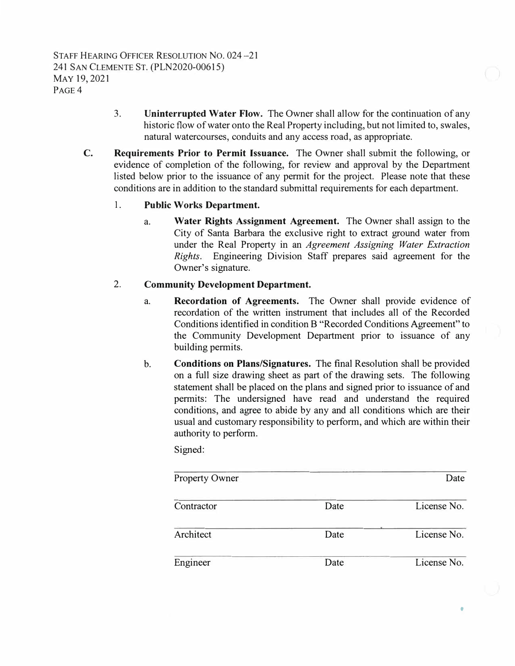- 3. **Uninterrupted Water Flow.** The Owner shall allow for the continuation of any historic flow of water onto the Real Property including, but not limited to, swales, natural watercourses, conduits and any access road, as appropriate.
- **C. Requirements Prior to Permit Issuance.** The Owner shall submit the following, or evidence of completion of the following, for review and approval by the Department listed below prior to the issuance of any permit for the project. Please note that these conditions are in addition to the standard submittal requirements for each department.

## **1. Public Works Department.**

a. **Water Rights Assignment Agreement.** The Owner shall assign to the City of Santa Barbara the exclusive right to extract ground water from under the Real Property in an *Agreement Assigning Water Extraction Rights.* Engineering Division Staff prepares said agreement for the Owner's signature.

## **2. Community Development Department.**

- a. **Recordation of Agreements.** The Owner shall provide evidence of recordation of the written instrument that includes all of the Recorded Conditions identified in condition B "Recorded Conditions Agreement" to the Community Development Department prior to issuance of any building permits.
- b. **Conditions on Plans/Signatures.** The final Resolution shall be provided on a full size drawing sheet as part of the drawing sets. The following statement shall be placed on the plans and signed prior to issuance of and permits: The undersigned have read and understand the required conditions, and agree to abide by any and all conditions which are their usual and customary responsibility to perform, and which are within their authority to perform.

Signed:

| <b>Property Owner</b> |      | Date        |
|-----------------------|------|-------------|
| Contractor            | Date | License No. |
| Architect             | Date | License No. |
| Engineer              | Date | License No. |

 $\bullet$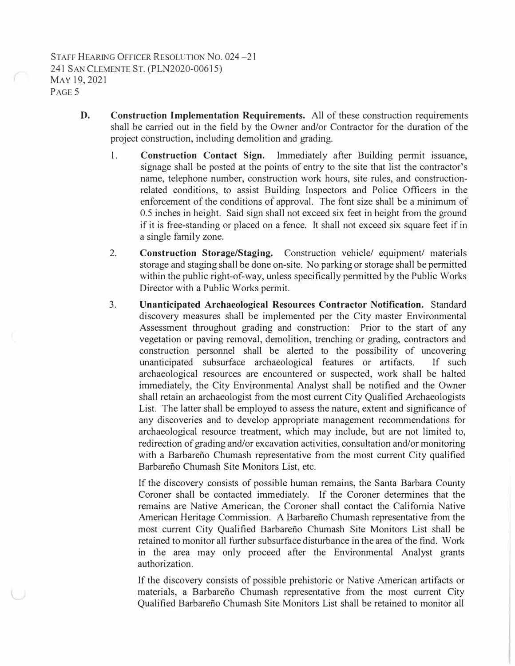- **D. Construction Implementation Requirements.** All of these construction requirements shall be carried out in the field by the Owner and/or Contractor for the duration of the project construction, including demolition and grading.
	- I. **Construction Contact Sign.** Immediately after Building pennit issuance, signage shall be posted at the points of entry to the site that list the contractor's name, telephone number, construction work hours, site rules, and constructionrelated conditions, to assist Building Inspectors and Police Officers in the enforcement of the conditions of approval. The font size shall be a minimum of 0.5 inches in height. Said sign shall not exceed six feet in height from the ground if it is free-standing or placed on a fence. It shall not exceed six square feet if in a single family zone.
	- 2. **Construction Storage/Staging.** Construction vehicle/ equipment/ materials storage and staging shall be done on-site. No parking or storage shall be permitted within the public right-of-way, unless specifically permitted by the Public Works Director with a Public Works permit.
	- 3. **Unanticipated Archaeological Resources Contractor Notification.** Standard discovery measures shall be implemented per the City master Environmental Assessment throughout grading and construction: Prior to the start of any vegetation or paving removal, demolition, trenching or grading, contractors and construction personnel shall be alerted to the possibility of uncovering unanticipated subsurface archaeological features or artifacts. If such archaeological resources are encountered or suspected, work shall be halted immediately, the City Environmental Analyst shall be notified and the Owner shall retain an archaeologist from the most current City Qualified Archaeologists List. The latter shall be employed to assess the nature, extent and significance of any discoveries and to develop appropriate management recommendations for archaeological resource treatment, which may include, but are not limited to, redirection of grading and/or excavation activities, consultation and/or monitoring with a Barbareño Chumash representative from the most current City qualified Barbareño Chumash Site Monitors List, etc.

If the discovery consists of possible human remains, the Santa Barbara County Coroner shall be contacted immediately. If the Coroner determines that the remains are Native American, the Coroner shall contact the California Native American Heritage Commission. A Barbarefio Chumash representative from the most current City Qualified Barbarefio Chumash Site Monitors List shall be retained to monitor all further subsurface disturbance in the area of the find. Work in the area may only proceed after the Environmental Analyst grants authorization.

If the discovery consists of possible prehistoric or Native American artifacts or materials, a Barbarefio Chumash representative from the most current City Qualified Barbarefio Chumash Site Monitors List shall be retained to monitor all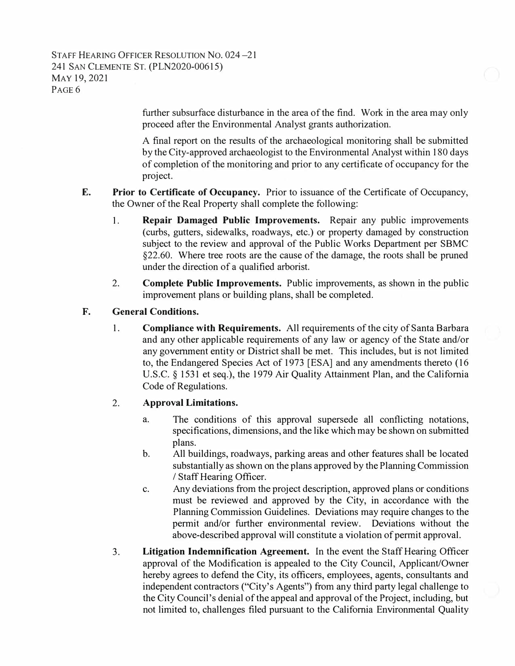### STAFF HEARING OFFICER RESOLUTION NO. 024-21 241 SAN CLEMENTE ST. (PLN2020-00615) MAY 19, 2021 PAGE 6

further subsurface disturbance in the area of the find. Work in the area may only proceed after the Environmental Analyst grants authorization.

A final report on the results of the archaeological monitoring shall be submitted by the City-approved archaeologist to the Environmental Analyst within 180 days of completion of the monitoring and prior to any certificate of occupancy for the project.

- **E. Prior to Certificate of Occupancy.** Prior to issuance of the Certificate of Occupancy, the Owner of the Real Property shall complete the following:
	- **1. Repair Damaged Public Improvements.** Repair any public improvements (curbs, gutters, sidewalks, roadways, etc.) or property damaged by construction subject to the review and approval of the Public Works Department per SBMC §22.60. Where tree roots are the cause of the damage, the roots shall be pruned under the direction of a qualified arborist.
	- 2. **Complete Public Improvements.** Public improvements, as shown in the public improvement plans or building plans, shall be completed.
- **F. General Conditions.**
	- 1. **Compliance with Requirements.** All requirements of the city of Santa Barbara and any other applicable requirements of any law or agency of the State and/or any government entity or District shall be met. This includes, but is not limited to, the Endangered Species Act of 1973 [ESA] and any amendments thereto (16 U.S.C. § 1531 et seq.), the 1979 Air Quality Attainment Plan, and the California Code of Regulations.

#### 2. **Approval Limitations.**

- a. The conditions of this approval supersede all conflicting notations, specifications, dimensions, and the like which may be shown on submitted plans.
- b. All buildings, roadways, parking areas and other features shall be located substantially as shown on the plans approved by the Planning Commission / Staff Hearing Officer.
- c. Any deviations from the project description, approved plans or conditions must be reviewed and approved by the City, in accordance with the Planning Commission Guidelines. Deviations may require changes to the permit and/or further environmental review. Deviations without the above-described approval will constitute a violation of permit approval.
- 3. **Litigation Indemnification Agreement.** In the event the Staff Hearing Officer approval of the Modification is appealed to the City Council, Applicant/Owner hereby agrees to defend the City, its officers, employees, agents, consultants and independent contractors ("City's Agents") from any third party legal challenge to the City Council's denial of the appeal and approval of the Project, including, but not limited to, challenges filed pursuant to the California Environmental Quality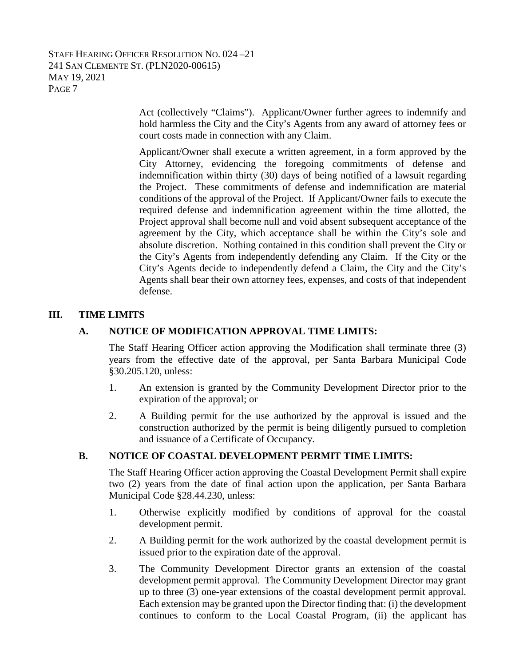## STAFF HEARING OFFICER RESOLUTION NO. 024 –21 241 SAN CLEMENTE ST. (PLN2020-00615) MAY 19, 2021 PAGE 7

Act (collectively "Claims"). Applicant/Owner further agrees to indemnify and hold harmless the City and the City's Agents from any award of attorney fees or court costs made in connection with any Claim.

Applicant/Owner shall execute a written agreement, in a form approved by the City Attorney, evidencing the foregoing commitments of defense and indemnification within thirty (30) days of being notified of a lawsuit regarding the Project. These commitments of defense and indemnification are material conditions of the approval of the Project. If Applicant/Owner fails to execute the required defense and indemnification agreement within the time allotted, the Project approval shall become null and void absent subsequent acceptance of the agreement by the City, which acceptance shall be within the City's sole and absolute discretion. Nothing contained in this condition shall prevent the City or the City's Agents from independently defending any Claim. If the City or the City's Agents decide to independently defend a Claim, the City and the City's Agents shall bear their own attorney fees, expenses, and costs of that independent defense.

## **III. TIME LIMITS**

#### **A. NOTICE OF MODIFICATION APPROVAL TIME LIMITS:**

The Staff Hearing Officer action approving the Modification shall terminate three (3) years from the effective date of the approval, per Santa Barbara Municipal Code §30.205.120, unless:

- 1. An extension is granted by the Community Development Director prior to the expiration of the approval; or
- 2. A Building permit for the use authorized by the approval is issued and the construction authorized by the permit is being diligently pursued to completion and issuance of a Certificate of Occupancy.

#### **B. NOTICE OF COASTAL DEVELOPMENT PERMIT TIME LIMITS:**

The Staff Hearing Officer action approving the Coastal Development Permit shall expire two (2) years from the date of final action upon the application, per Santa Barbara Municipal Code §28.44.230, unless:

- 1. Otherwise explicitly modified by conditions of approval for the coastal development permit.
- 2. A Building permit for the work authorized by the coastal development permit is issued prior to the expiration date of the approval.
- 3. The Community Development Director grants an extension of the coastal development permit approval. The Community Development Director may grant up to three (3) one-year extensions of the coastal development permit approval. Each extension may be granted upon the Director finding that: (i) the development continues to conform to the Local Coastal Program, (ii) the applicant has